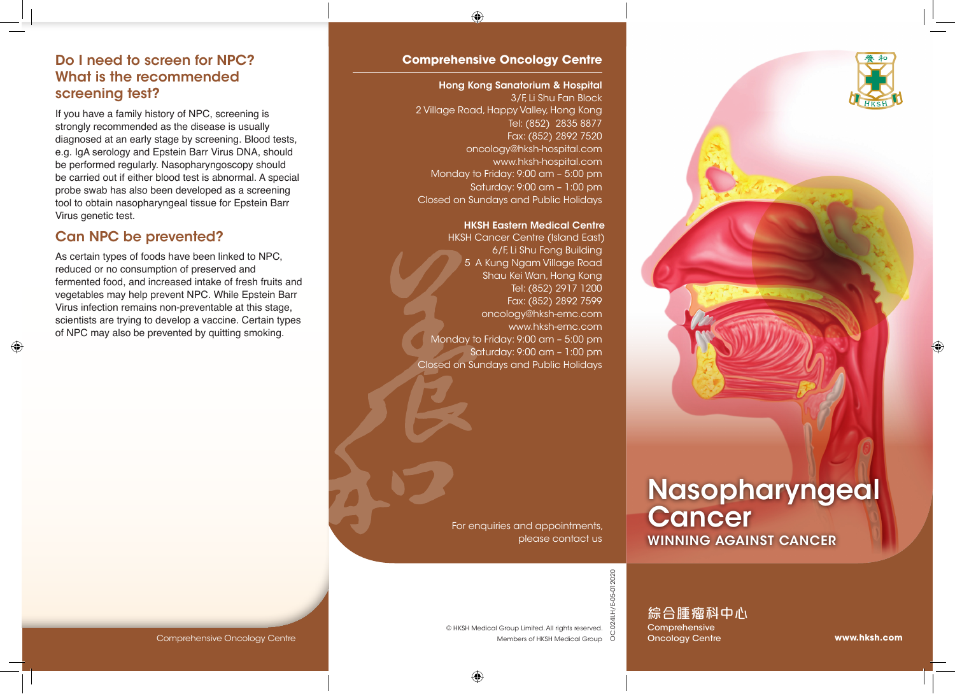### Do I need to screen for NPC? What is the recommended screening test?

If you have a family history of NPC, screening is strongly recommended as the disease is usually diagnosed at an early stage by screening. Blood tests, e.g. IgA serology and Epstein Barr Virus DNA, should be performed regularly. Nasopharyngoscopy should be carried out if either blood test is abnormal. A special probe swab has also been developed as a screening tool to obtain nasopharyngeal tissue for Epstein Barr Virus genetic test.

## Can NPC be prevented?

As certain types of foods have been linked to NPC, reduced or no consumption of preserved and fermented food, and increased intake of fresh fruits and vegetables may help prevent NPC. While Epstein Barr Virus infection remains non-preventable at this stage, scientists are trying to develop a vaccine. Certain types of NPC may also be prevented by quitting smoking.

### **Comprehensive Oncology Centre**

#### Hong Kong Sanatorium & Hospital

3/F, Li Shu Fan Block 2 Village Road, Happy Valley, Hong Kong Tel: (852) 2835 8877 Fax: (852) 2892 7520 oncology@hksh-hospital.com www.hksh-hospital.com Monday to Friday: 9:00 am – 5:00 pm Saturday: 9:00 am – 1:00 pm Closed on Sundays and Public Holidays

### HKSH Eastern Medical Centre

HKSH Cancer Centre (Island East) 6/F, Li Shu Fong Building 5 A Kung Ngam Village Road Shau Kei Wan, Hong Kong Tel: (852) 2917 1200 Fax: (852) 2892 7599 oncology@hksh-emc.com www.hksh-emc.com Monday to Friday: 9:00 am – 5:00 pm Saturday: 9:00 am – 1:00 pm Closed on Sundays and Public Holidays

> For enquiries and appointments, please contact us



# Nasopharyngeal **Cancer** WINNING AGAINST CANCER

024I.H/E-05-012020 OC.024I.H/E-05-012020

综合腫瘤科中心

**Comprehensive** Oncology Centre

Comprehensive Oncology Centre

Members of HKSH Medical Group 0 © HKSH Medical Group Limited. All rights reserved.

**www.hksh.com**